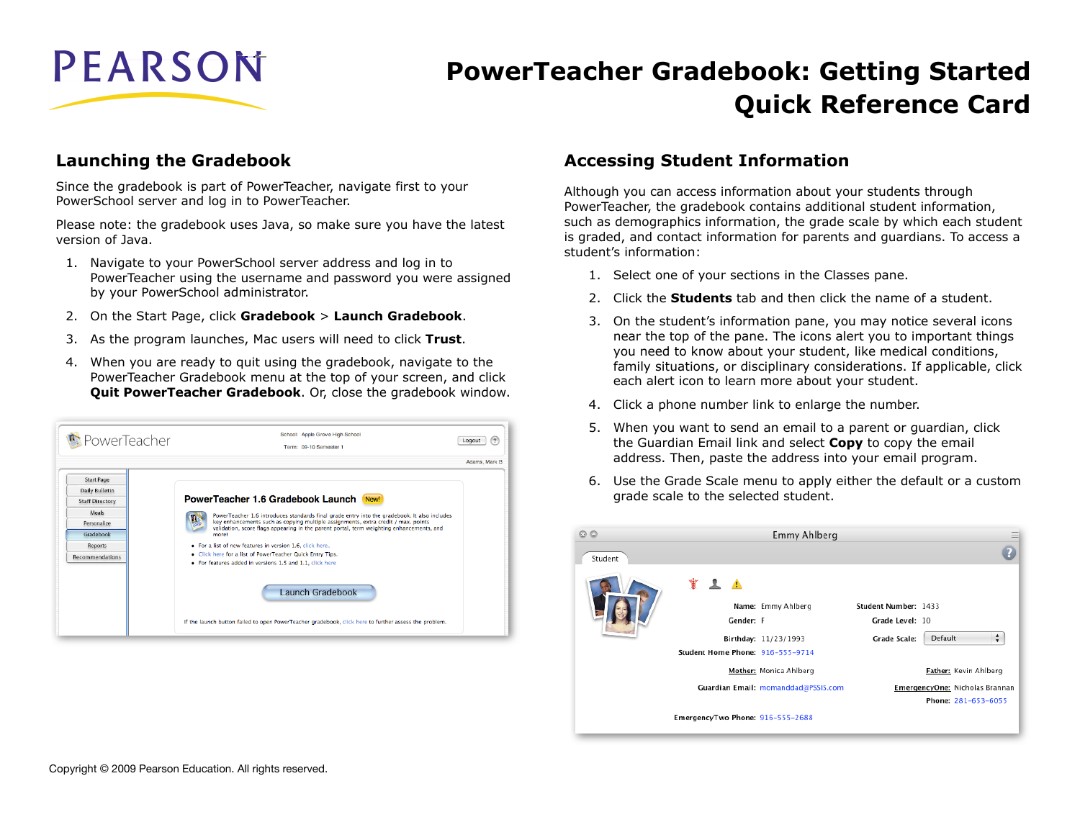

# **PowerTeacher Gradebook: Getting Started Quick Reference Card**

### **Launching the Gradebook**

Since the gradebook is part of PowerTeacher, navigate first to your PowerSchool server and log in to PowerTeacher.

Please note: the gradebook uses Java, so make sure you have the latest version of Java.

- 1. Navigate to your PowerSchool server address and log in to PowerTeacher using the username and password you were assigned by your PowerSchool administrator.
- 2. On the Start Page, click **Gradebook** > **Launch Gradebook**.
- 3. As the program launches, Mac users will need to click **Trust**.
- 4. When you are ready to quit using the gradebook, navigate to the PowerTeacher Gradebook menu at the top of your screen, and click **Quit PowerTeacher Gradebook**. Or, close the gradebook window.



### **Accessing Student Information**

Although you can access information about your students through PowerTeacher, the gradebook contains additional student information, such as demographics information, the grade scale by which each student is graded, and contact information for parents and guardians. To access a student's information:

- 1. Select one of your sections in the Classes pane.
- 2. Click the **Students** tab and then click the name of a student.
- 3. On the student's information pane, you may notice several icons near the top of the pane. The icons alert you to important things you need to know about your student, like medical conditions, family situations, or disciplinary considerations. If applicable, click each alert icon to learn more about your student.
- 4. Click a phone number link to enlarge the number.
- 5. When you want to send an email to a parent or guardian, click the Guardian Email link and select **Copy** to copy the email address. Then, paste the address into your email program.
- 6. Use the Grade Scale menu to apply either the default or a custom grade scale to the selected student.

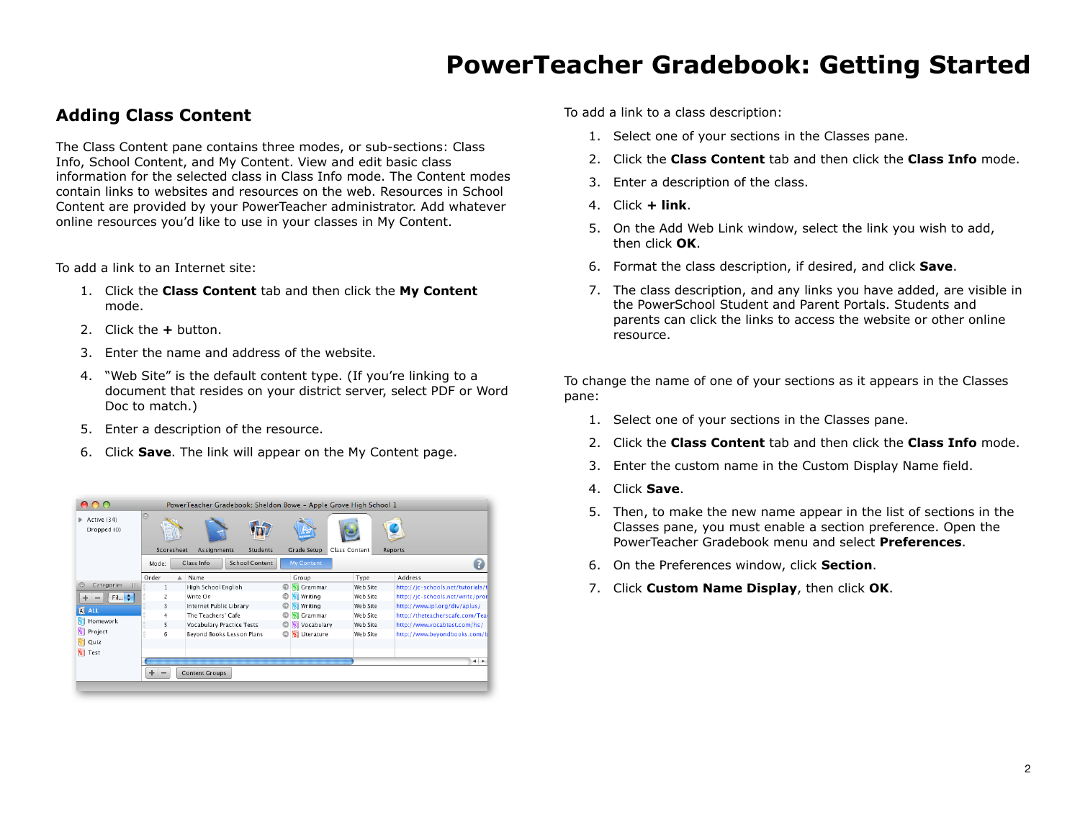### **Adding Class Content**

The Class Content pane contains three modes, or sub-sections: Class Info, School Content, and My Content. View and edit basic class information for the selected class in Class Info mode. The Content modes contain links to websites and resources on the web. Resources in School Content are provided by your PowerTeacher administrator. Add whatever online resources you'd like to use in your classes in My Content.

To add a link to an Internet site:

- 1. Click the **Class Content** tab and then click the **My Content** mode.
- 2. Click the **+** button.
- 3. Enter the name and address of the website.
- 4. "Web Site" is the default content type. (If you're linking to a document that resides on your district server, select PDF or Word Doc to match.)
- 5. Enter a description of the resource.
- 6. Click **Save**. The link will appear on the My Content page.

|                                             |                                                     | PowerTeacher Gradebook: Sheldon Bowe - Apple Grove High School 1 |                      |               |                                   |  |  |
|---------------------------------------------|-----------------------------------------------------|------------------------------------------------------------------|----------------------|---------------|-----------------------------------|--|--|
| $\triangleright$ Active (34)<br>Dropped (0) | $\quad \  \  \, \textcircled{\scriptsize{1}}$<br>提進 |                                                                  |                      |               |                                   |  |  |
|                                             | Scoresheet                                          | <b>Students</b><br><b>Assignments</b>                            | <b>Grade Setup</b>   | Class Content | Reports                           |  |  |
|                                             | Mode:                                               | <b>School Content</b><br>Class Info                              | <b>My Content</b>    |               |                                   |  |  |
|                                             | Order                                               | Name                                                             | Group                | Type          | Address                           |  |  |
| Categories<br>Ш<br>e                        | 1                                                   | High School English                                              | Grammar<br>o         | Web Site      | http://jc-schools.net/tutorials/t |  |  |
| Fil ÷                                       | $\overline{2}$                                      | Write On                                                         | Writing<br>O         | Web Site      | http://jc-schools.net/write/pror  |  |  |
| <b>A</b> ALL                                | 3                                                   | Internet Public Library                                          | Writing<br>O         | Web Site      | http://www.ipl.org/div/aplus/     |  |  |
|                                             | 4                                                   | The Teachers' Cafe                                               | O<br>Grammar         | Web Site      | http://theteacherscafe.com/Tead   |  |  |
| Homework                                    | 5                                                   | <b>Vocabulary Practice Tests</b>                                 | Vocabulary<br>O      | Web Site      | http://www.vocabtest.com/hs/      |  |  |
| Project                                     | 6                                                   | Beyond Books Lesson Plans                                        | Literature<br>O<br>W | Web Site      | http://www.beyondbooks.com/b      |  |  |
| Quiz<br>W                                   |                                                     |                                                                  |                      |               |                                   |  |  |
| <b>V</b> Test                               |                                                     |                                                                  |                      |               |                                   |  |  |
|                                             |                                                     |                                                                  |                      |               | $\leftarrow$                      |  |  |
|                                             | ÷                                                   | <b>Content Groups</b>                                            |                      |               |                                   |  |  |
|                                             |                                                     |                                                                  |                      |               |                                   |  |  |

To add a link to a class description:

- 1. Select one of your sections in the Classes pane.
- 2. Click the **Class Content** tab and then click the **Class Info** mode.
- 3. Enter a description of the class.
- 4. Click **+ link**.
- 5. On the Add Web Link window, select the link you wish to add, then click **OK**.
- 6. Format the class description, if desired, and click **Save**.
- 7. The class description, and any links you have added, are visible in the PowerSchool Student and Parent Portals. Students and parents can click the links to access the website or other online resource.

To change the name of one of your sections as it appears in the Classes pane:

- 1. Select one of your sections in the Classes pane.
- 2. Click the **Class Content** tab and then click the **Class Info** mode.
- 3. Enter the custom name in the Custom Display Name field.
- 4. Click **Save**.
- 5. Then, to make the new name appear in the list of sections in the Classes pane, you must enable a section preference. Open the PowerTeacher Gradebook menu and select **Preferences**.
- 6. On the Preferences window, click **Section**.
- 7. Click **Custom Name Display**, then click **OK**.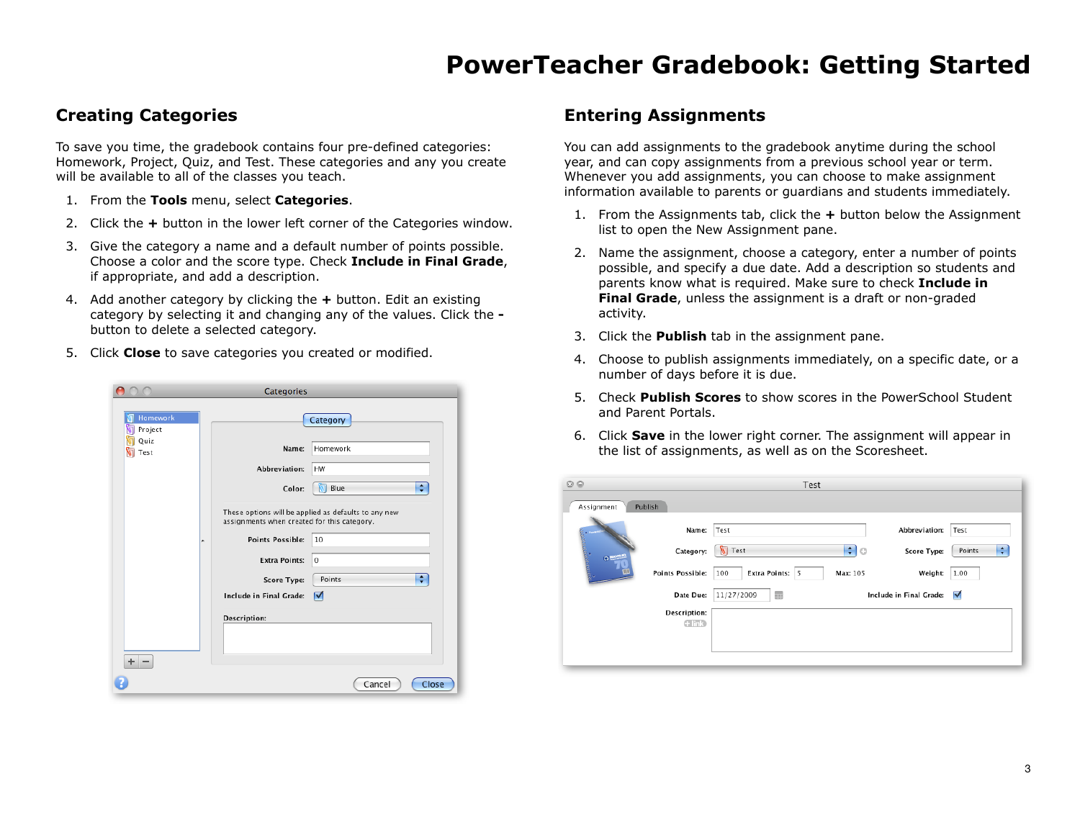## **Creating Categories**

To save you time, the gradebook contains four pre-defined categories: Homework, Project, Quiz, and Test. These categories and any you create will be available to all of the classes you teach.

- 1. From the **Tools** menu, select **Categories**.
- 2. Click the **+** button in the lower left corner of the Categories window.
- 3. Give the category a name and a default number of points possible. Choose a color and the score type. Check **Include in Final Grade**, if appropriate, and add a description.
- 4. Add another category by clicking the **+** button. Edit an existing category by selecting it and changing any of the values. Click the  button to delete a selected category.
- 5. Click **Close** to save categories you created or modified.

|                     | Categories                                  |                                                      |       |
|---------------------|---------------------------------------------|------------------------------------------------------|-------|
| Homework<br>Project |                                             | Category                                             |       |
| Quiz<br>Test        | Name:                                       | Homework                                             |       |
|                     | Abbreviation:                               | <b>HW</b>                                            |       |
|                     | Color:                                      | Blue<br>冈                                            | ÷     |
|                     | assignments when created for this category. | These options will be applied as defaults to any new |       |
|                     | <b>Points Possible:</b><br>۰                | 10                                                   |       |
|                     | <b>Extra Points:</b>                        | $\mathbf 0$                                          |       |
|                     | Score Type:                                 | Points                                               | ÷     |
|                     | Include in Final Grade:                     | ⊽                                                    |       |
|                     | <b>Description:</b>                         |                                                      |       |
| $+ -$               |                                             |                                                      |       |
|                     |                                             | Cancel                                               | Close |

### **Entering Assignments**

You can add assignments to the gradebook anytime during the school year, and can copy assignments from a previous school year or term. Whenever you add assignments, you can choose to make assignment information available to parents or guardians and students immediately.

- 1. From the Assignments tab, click the **+** button below the Assignment list to open the New Assignment pane.
- 2. Name the assignment, choose a category, enter a number of points possible, and specify a due date. Add a description so students and parents know what is required. Make sure to check **Include in Final Grade**, unless the assignment is a draft or non-graded activity.
- 3. Click the **Publish** tab in the assignment pane.
- 4. Choose to publish assignments immediately, on a specific date, or a number of days before it is due.
- 5. Check **Publish Scores** to show scores in the PowerSchool Student and Parent Portals.
- 6. Click **Save** in the lower right corner. The assignment will appear in the list of assignments, as well as on the Scoresheet.

| $\odot$                          | Test                                             |             |  |  |  |  |  |
|----------------------------------|--------------------------------------------------|-------------|--|--|--|--|--|
| Assignment<br>Publish            |                                                  |             |  |  |  |  |  |
| Name:                            | Abbreviation:<br>Test                            | Test        |  |  |  |  |  |
| Category:<br>ğ.<br><b>O</b> MORE | ≑∣ಂ<br><b>V</b> Test<br>Score Type:              | ÷<br>Points |  |  |  |  |  |
| <b>Points Possible:</b>          | Extra Points:<br>5<br>Max: 105<br>Weight:<br>100 | 1.00        |  |  |  |  |  |
| Date Due:                        | ۵<br>11/27/2009<br>Include in Final Grade:       | ⊻           |  |  |  |  |  |
| Description:<br>$C$ in $S$       |                                                  |             |  |  |  |  |  |
|                                  |                                                  |             |  |  |  |  |  |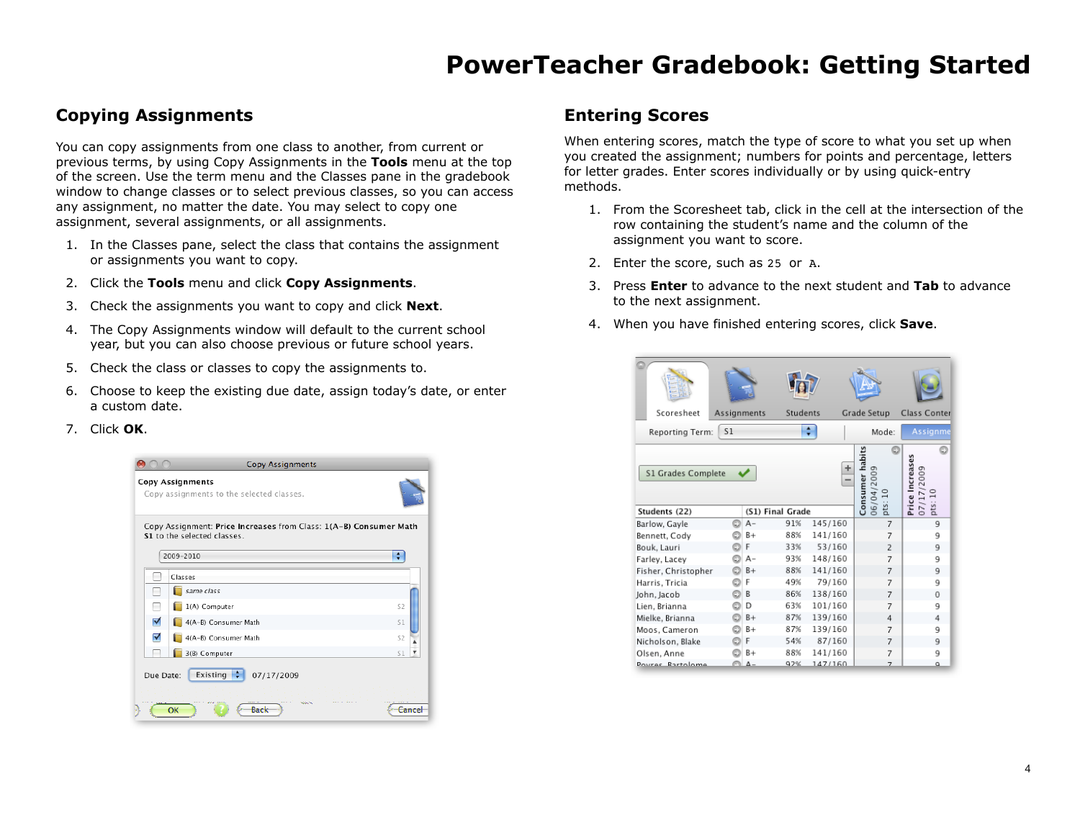## **Copying Assignments**

You can copy assignments from one class to another, from current or previous terms, by using Copy Assignments in the **Tools** menu at the top of the screen. Use the term menu and the Classes pane in the gradebook window to change classes or to select previous classes, so you can access any assignment, no matter the date. You may select to copy one assignment, several assignments, or all assignments.

- 1. In the Classes pane, select the class that contains the assignment or assignments you want to copy.
- 2. Click the **Tools** menu and click **Copy Assignments**.
- 3. Check the assignments you want to copy and click **Next**.
- 4. The Copy Assignments window will default to the current school year, but you can also choose previous or future school years.
- 5. Check the class or classes to copy the assignments to.
- 6. Choose to keep the existing due date, assign today's date, or enter a custom date.

#### 7. Click **OK**.

|           | <b>Copy Assignments</b>                                                                                       |                |
|-----------|---------------------------------------------------------------------------------------------------------------|----------------|
|           | <b>Copy Assignments</b><br>Copy assignments to the selected classes.                                          |                |
|           | Copy Assignment: Price Increases from Class: 1(A-B) Consumer Math<br>S1 to the selected classes.<br>2009-2010 |                |
|           | Classes                                                                                                       |                |
|           | same class                                                                                                    |                |
|           | 1(A) Computer                                                                                                 | S <sub>2</sub> |
| ⊽         | 4(A-B) Consumer Math                                                                                          | S1             |
| ⊽         | 4(A-B) Consumer Math                                                                                          | S <sub>2</sub> |
|           | 3(B) Computer                                                                                                 | S1             |
| Due Date: | Existing<br>07/17/2009                                                                                        |                |
|           | <b>STATISTICS</b><br>OK<br>Rack                                                                               |                |

### **Entering Scores**

When entering scores, match the type of score to what you set up when you created the assignment; numbers for points and percentage, letters for letter grades. Enter scores individually or by using quick-entry methods.

- 1. From the Scoresheet tab, click in the cell at the intersection of the row containing the student's name and the column of the assignment you want to score.
- 2. Enter the score, such as 25 or A.
- 3. Press **Enter** to advance to the next student and **Tab** to advance to the next assignment.
- 4. When you have finished entering scores, click **Save**.

| Scoresheet<br>Assignments                                    |   |       | Students |         | Grade Setup     |            |                | Class Conter                             |   |
|--------------------------------------------------------------|---|-------|----------|---------|-----------------|------------|----------------|------------------------------------------|---|
| Reporting Term:                                              |   |       |          | Mode:   |                 | Assignme   |                |                                          |   |
| ÷<br>S1 Grades Complete<br>(S1) Final Grade<br>Students (22) |   |       |          |         | Consumer habits | 06/04/2009 | $\Xi$<br>pts:  | Price Increases<br>07/17/2009<br>pts: 10 | c |
| Barlow, Gayle                                                |   | $A -$ | 91%      | 145/160 |                 |            | 7              | 9                                        |   |
| Bennett, Cody                                                |   | $B+$  | 88%      | 141/160 |                 |            | 7              | 9                                        |   |
| Bouk, Lauri                                                  |   | F     | 33%      | 53/160  |                 |            | $\overline{2}$ | 9                                        |   |
| Farley, Lacey                                                |   | $A -$ | 93%      | 148/160 |                 |            | 7              | 9                                        |   |
| Fisher, Christopher                                          |   | $B +$ | 88%      | 141/160 |                 |            | 7              | 9                                        |   |
| Harris, Tricia                                               | o | F     | 49%      | 79/160  |                 |            | 7              | 9                                        |   |
| John, Jacob                                                  | o | B     | 86%      | 138/160 |                 |            | 7              | 0                                        |   |
| Lien, Brianna                                                |   | D     | 63%      | 101/160 |                 |            | 7              | 9                                        |   |
| Mielke, Brianna                                              |   | $B +$ | 87%      | 139/160 |                 |            | 4              | 4                                        |   |
| Moos, Cameron                                                |   | $B+$  | 87%      | 139/160 |                 |            | 7              | 9                                        |   |
| Nicholson, Blake                                             |   | F     | 54%      | 87/160  |                 |            | 7              | 9                                        |   |
| Olsen, Anne                                                  |   | $B+$  | 88%      | 141/160 |                 |            | 7              | 9                                        |   |
| Poures Rartolome                                             |   | Δ-    | 92%      | 147/160 |                 |            | 7              | a                                        |   |